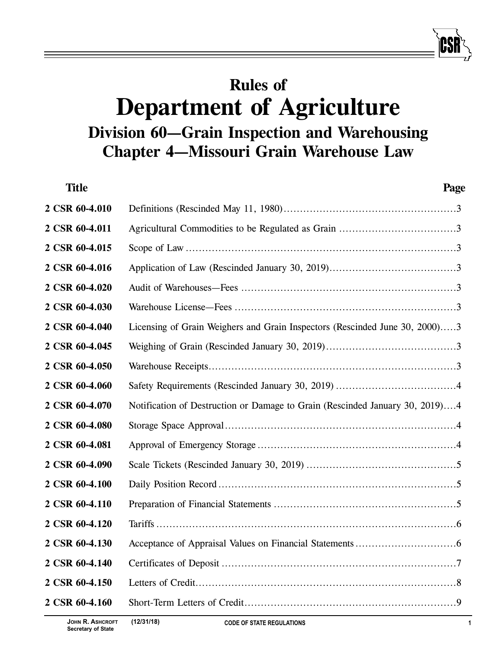# **Rules of Department of Agriculture Division 60—Grain Inspection and Warehousing Chapter 4—Missouri Grain Warehouse Law**

| <b>Title</b>   | Page                                                                         |
|----------------|------------------------------------------------------------------------------|
| 2 CSR 60-4.010 |                                                                              |
| 2 CSR 60-4.011 |                                                                              |
| 2 CSR 60-4.015 |                                                                              |
| 2 CSR 60-4.016 |                                                                              |
| 2 CSR 60-4.020 |                                                                              |
| 2 CSR 60-4.030 |                                                                              |
| 2 CSR 60-4.040 | Licensing of Grain Weighers and Grain Inspectors (Rescinded June 30, 2000)3  |
| 2 CSR 60-4.045 |                                                                              |
| 2 CSR 60-4.050 |                                                                              |
| 2 CSR 60-4.060 |                                                                              |
| 2 CSR 60-4.070 | Notification of Destruction or Damage to Grain (Rescinded January 30, 2019)4 |
| 2 CSR 60-4.080 |                                                                              |
| 2 CSR 60-4.081 |                                                                              |
| 2 CSR 60-4.090 |                                                                              |
| 2 CSR 60-4.100 |                                                                              |
| 2 CSR 60-4.110 |                                                                              |
| 2 CSR 60-4.120 |                                                                              |
| 2 CSR 60-4.130 |                                                                              |
| 2 CSR 60-4.140 |                                                                              |
| 2 CSR 60-4.150 |                                                                              |
| 2 CSR 60-4.160 |                                                                              |
|                |                                                                              |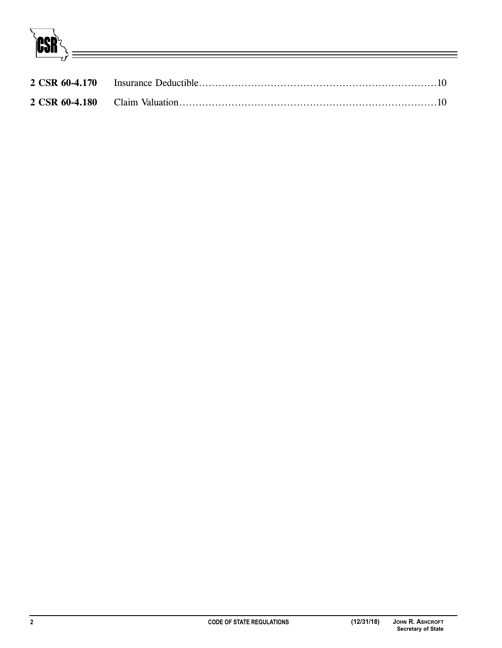**ICSR**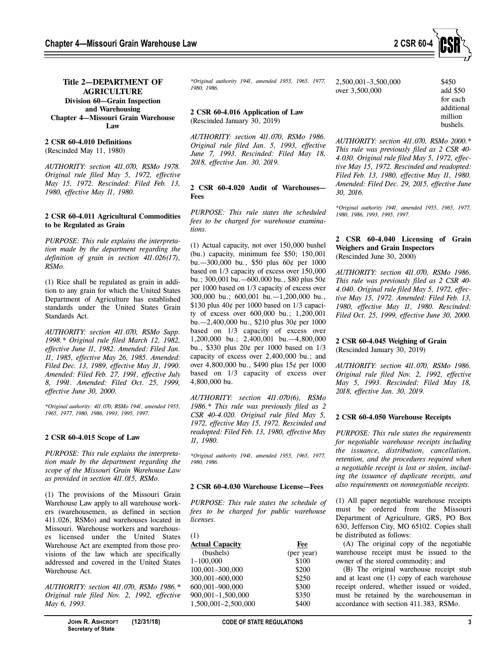

## **Title 2—DEPARTMENT OF AGRICULTURE Division 60—Grain Inspection and Warehousing Chapter 4—Missouri Grain Warehouse Law**

## **2 CSR 60-4.010 Definitions**

(Rescinded May 11, 1980)

*AUTHORITY: section 411.070, RSMo 1978. Original rule filed May 5, 1972, effective May 15, 1972. Rescinded: Filed Feb. 13, 1980, effective May 11, 1980.*

## **2 CSR 60-4.011 Agricultural Commodities to be Regulated as Grain**

*PURPOSE: This rule explains the interpretation made by the department regarding the definition of grain in section 411.026(17), RSMo.*

(1) Rice shall be regulated as grain in addition to any grain for which the United States Department of Agriculture has established standards under the United States Grain Standards Act.

*AUTHORITY: section 411.070, RSMo Supp. 1998.\* Original rule filed March 12, 1982, effective June 11, 1982. Amended: Filed Jan. 11, 1985, effective May 26, 1985. Amended: Filed Dec. 13, 1989, effective May 31, 1990. Amended: Filed Feb. 27, 1991, effective July 8, 1991. Amended: Filed Oct. 25, 1999, effective June 30, 2000.*

*\*Original authority: 411.070, RSMo 1941, amended 1955, 1965, 1977, 1980, 1986, 1993, 1995, 1997.*

#### **2 CSR 60-4.015 Scope of Law**

*PURPOSE: This rule explains the interpretation made by the department regarding the scope of the Missouri Grain Warehouse Law as provided in section 411.015, RSMo.*

(1) The provisions of the Missouri Grain Warehouse Law apply to all warehouse workers (warehousemen, as defined in section 411.026, RSMo) and warehouses located in Missouri. Warehouse workers and warehouses licensed under the United States Warehouse Act are exempted from those provisions of the law which are specifically addressed and covered in the United States Warehouse Act.

*AUTHORITY: section 411.070, RSMo 1986.\* Original rule filed Nov. 2, 1992, effective May 6, 1993.*

*\*Original authority 1941, amended 1955, 1965, 1977, 1980, 1986.*

# **2 CSR 60-4.016 Application of Law** (Rescinded January 30, 2019)

*AUTHORITY: section 411.070, RSMo 1986. Original rule filed Jan. 5, 1993, effective June 7, 1993. Rescinded: Filed May 18, 2018, effective Jan. 30, 2019.*

# **2 CSR 60-4.020 Audit of Warehouses— Fees**

*PURPOSE: This rule states the scheduled fees to be charged for warehouse examinations.*

(1) Actual capacity, not over 150,000 bushel (bu.) capacity, minimum fee \$50; 150,001 bu.—300,000 bu., \$50 plus 60¢ per 1000 based on 1/3 capacity of excess over 150,000 bu.; 300,001 bu.—600,000 bu., \$80 plus 50¢ per 1000 based on 1/3 capacity of excess over 300,000 bu.; 600,001 bu.—1,200,000 bu., \$130 plus 40¢ per 1000 based on 1/3 capacity of excess over 600,000 bu.; 1,200,001 bu.—2,400,000 bu., \$210 plus 30¢ per 1000 based on 1/3 capacity of excess over 1,200,000 bu.; 2,400,001 bu.—4,800,000 bu., \$330 plus 20¢ per 1000 based on 1/3 capacity of excess over 2,400,000 bu.; and over 4,800,000 bu., \$490 plus 15¢ per 1000 based on 1/3 capacity of excess over 4,800,000 bu.

*AUTHORITY: section 411.070(6), RSMo 1986.\* This rule was previously filed as 2 CSR 40-4.020. Original rule filed May 5, 1972, effective May 15, 1972. Rescinded and readopted: Filed Feb. 13, 1980, effective May 11, 1980.*

*\*Original authority 1941, amended 1955, 1965, 1977, 1980, 1986.*

# **2 CSR 60-4.030 Warehouse License—Fees**

*PURPOSE: This rule states the schedule of fees to be charged for public warehouse licenses.*

| (1)                    |            |
|------------------------|------------|
| <b>Actual Capacity</b> | Fee        |
| (bushels)              | (per year) |
| $1 - 100,000$          | \$100      |
| 100,001-300,000        | \$200      |
| 300,001-600,000        | \$250      |
| 600,001-900,000        | \$300      |
| 900,001-1,500,000      | \$350      |
| 1,500,001-2,500,000    | \$400      |

2,500,001–3,500,000 \$450 over 3,500,000 add \$50

for each additional million bushels.

*AUTHORITY: section 411.070, RSMo 2000.\* This rule was previously filed as 2 CSR 40- 4.030. Original rule filed May 5, 1972, effective May 15, 1972. Rescinded and readopted: Filed Feb. 13, 1980, effective May 11, 1980. Amended: Filed Dec. 29, 2015, effective June 30, 2016.*

*\*Original authority 1941, amended 1955, 1965, 1977, 1980, 1986, 1993, 1995, 1997.*

## **2 CSR 60-4.040 Licensing of Grain Weighers and Grain Inspectors** (Rescinded June 30, 2000)

*AUTHORITY: section 411.070, RSMo 1986. This rule was previously filed as 2 CSR 40- 4.040. Original rule filed May 5, 1972, effective May 15, 1972. Amended: Filed Feb. 13, 1980, effective May 11, 1980. Rescinded: Filed Oct. 25, 1999, effective June 30, 2000.*

## **2 CSR 60-4.045 Weighing of Grain** (Rescinded January 30, 2019)

*AUTHORITY: section 411.070, RSMo 1986. Original rule filed Nov. 2, 1992, effective May 5, 1993. Rescinded: Filed May 18, 2018, effective Jan. 30, 2019.*

# **2 CSR 60-4.050 Warehouse Receipts**

*PURPOSE: This rule states the requirements for negotiable warehouse receipts including the issuance, distribution, cancellation, retention, and the procedures required when a negotiable receipt is lost or stolen, including the issuance of duplicate receipts, and also requirements on nonnegotiable receipts.*

(1) All paper negotiable warehouse receipts must be ordered from the Missouri Department of Agriculture, GRS, PO Box 630, Jefferson City, MO 65102. Copies shall be distributed as follows:

(A) The original copy of the negotiable warehouse receipt must be issued to the owner of the stored commodity; and

(B) The original warehouse receipt stub and at least one (1) copy of each warehouse receipt ordered, whether issued or voided, must be retained by the warehouseman in accordance with section 411.383, RSMo.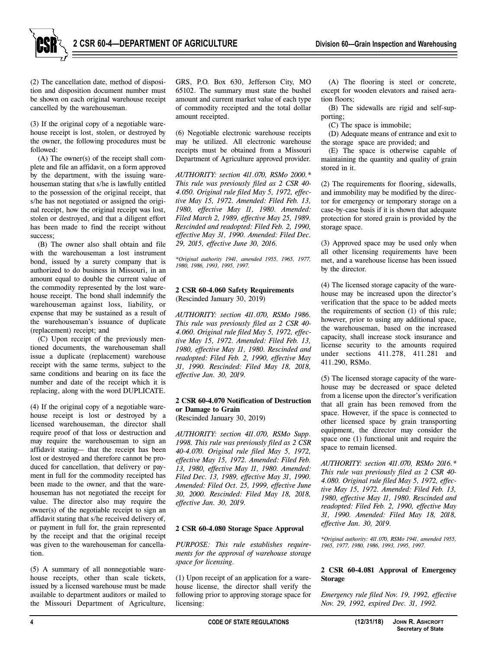

(2) The cancellation date, method of disposition and disposition document number must be shown on each original warehouse receipt cancelled by the warehouseman.

(3) If the original copy of a negotiable warehouse receipt is lost, stolen, or destroyed by the owner, the following procedures must be followed:

(A) The owner(s) of the receipt shall complete and file an affidavit, on a form approved by the department, with the issuing warehouseman stating that s/he is lawfully entitled to the possession of the original receipt, that s/he has not negotiated or assigned the original receipt, how the original receipt was lost, stolen or destroyed, and that a diligent effort has been made to find the receipt without success:

(B) The owner also shall obtain and file with the warehouseman a lost instrument bond, issued by a surety company that is authorized to do business in Missouri, in an amount equal to double the current value of the commodity represented by the lost warehouse receipt. The bond shall indemnify the warehouseman against loss, liability, or expense that may be sustained as a result of the warehouseman's issuance of duplicate (replacement) receipt; and

(C) Upon receipt of the previously mentioned documents, the warehouseman shall issue a duplicate (replacement) warehouse receipt with the same terms, subject to the same conditions and bearing on its face the number and date of the receipt which it is replacing, along with the word DUPLICATE.

(4) If the original copy of a negotiable warehouse receipt is lost or destroyed by a licensed warehouseman, the director shall require proof of that loss or destruction and may require the warehouseman to sign an affidavit stating— that the receipt has been lost or destroyed and therefore cannot be produced for cancellation, that delivery or payment in full for the commodity receipted has been made to the owner, and that the warehouseman has not negotiated the receipt for value. The director also may require the owner(s) of the negotiable receipt to sign an affidavit stating that s/he received delivery of, or payment in full for, the grain represented by the receipt and that the original receipt was given to the warehouseman for cancellation.

(5) A summary of all nonnegotiable warehouse receipts, other than scale tickets, issued by a licensed warehouse must be made available to department auditors or mailed to the Missouri Department of Agriculture,

GRS, P.O. Box 630, Jefferson City, MO 65102. The summary must state the bushel amount and current market value of each type of commodity receipted and the total dollar amount receipted.

(6) Negotiable electronic warehouse receipts may be utilized. All electronic warehouse receipts must be obtained from a Missouri Department of Agriculture approved provider.

*AUTHORITY: section 411.070, RSMo 2000.\* This rule was previously filed as 2 CSR 40- 4.050. Original rule filed May 5, 1972, effective May 15, 1972. Amended: Filed Feb. 13, 1980, effective May 11, 1980. Amended: Filed March 2, 1989, effective May 25, 1989. Rescinded and readopted: Filed Feb. 2, 1990, effective May 31, 1990. Amended: Filed Dec. 29, 2015, effective June 30, 2016.*

*\*Original authority 1941, amended 1955, 1965, 1977, 1980, 1986, 1993, 1995, 1997.*

## **2 CSR 60-4.060 Safety Requirements** (Rescinded January 30, 2019)

*AUTHORITY: section 411.070, RSMo 1986. This rule was previously filed as 2 CSR 40- 4.060. Original rule filed May 5, 1972, effective May 15, 1972. Amended: Filed Feb. 13, 1980, effective May 11, 1980. Rescinded and readopted: Filed Feb. 2, 1990, effective May 31, 1990. Rescinded: Filed May 18, 2018, effective Jan. 30, 2019.*

# **2 CSR 60-4.070 Notification of Destruction or Damage to Grain**

(Rescinded January 30, 2019)

*AUTHORITY: section 411.070, RSMo Supp. 1998. This rule was previously filed as 2 CSR 40-4.070. Original rule filed May 5, 1972, effective May 15, 1972. Amended: Filed Feb. 13, 1980, effective May 11, 1980. Amended: Filed Dec. 13, 1989, effective May 31, 1990. Amended: Filed Oct. 25, 1999, effective June 30, 2000. Rescinded: Filed May 18, 2018, effective Jan. 30, 2019.*

#### **2 CSR 60-4.080 Storage Space Approval**

*PURPOSE: This rule establishes requirements for the approval of warehouse storage space for licensing.*

(1) Upon receipt of an application for a warehouse license, the director shall verify the following prior to approving storage space for licensing:

(A) The flooring is steel or concrete, except for wooden elevators and raised aeration floors;

(B) The sidewalls are rigid and self-supporting;

(C) The space is immobile;

(D) Adequate means of entrance and exit to the storage space are provided; and

(E) The space is otherwise capable of maintaining the quantity and quality of grain stored in it.

(2) The requirements for flooring, sidewalls, and immobility may be modified by the director for emergency or temporary storage on a case-by-case basis if it is shown that adequate protection for stored grain is provided by the storage space.

(3) Approved space may be used only when all other licensing requirements have been met, and a warehouse license has been issued by the director.

(4) The licensed storage capacity of the warehouse may be increased upon the director's verification that the space to be added meets the requirements of section (1) of this rule; however, prior to using any additional space, the warehouseman, based on the increased capacity, shall increase stock insurance and license security to the amounts required under sections 411.278, 411.281 and 411.290, RSMo.

(5) The licensed storage capacity of the warehouse may be decreased or space deleted from a license upon the director's verification that all grain has been removed from the space. However, if the space is connected to other licensed space by grain transporting equipment, the director may consider the space one (1) functional unit and require the space to remain licensed.

*AUTHORITY: section 411.070, RSMo 2016.\* This rule was previously filed as 2 CSR 40- 4.080. Original rule filed May 5, 1972, effective May 15, 1972. Amended: Filed Feb. 13, 1980, effective May 11, 1980. Rescinded and readopted: Filed Feb. 2, 1990, effective May 31, 1990. Amended: Filed May 18, 2018, effective Jan. 30, 2019.*

*\*Original authority: 411.070, RSMo 1941, amended 1955, 1965, 1977, 1980, 1986, 1993, 1995, 1997.*

# **2 CSR 60-4.081 Approval of Emergency Storage**

*Emergency rule filed Nov. 19, 1992, effective Nov. 29, 1992, expired Dec. 31, 1992.*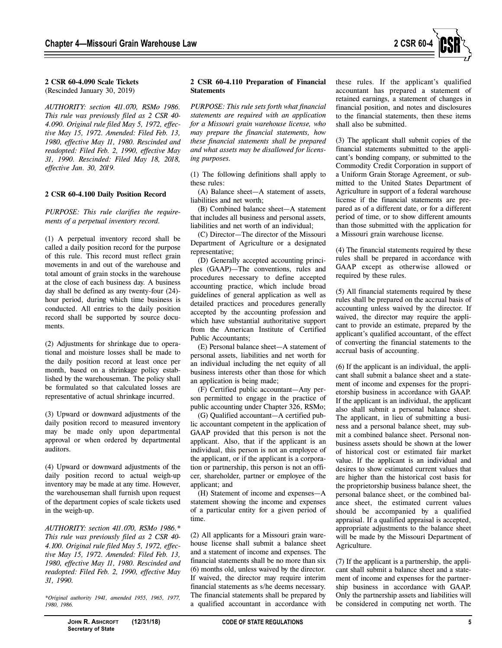

## **2 CSR 60-4.090 Scale Tickets** (Rescinded January 30, 2019)

*AUTHORITY: section 411.070, RSMo 1986. This rule was previously filed as 2 CSR 40- 4.090. Original rule filed May 5, 1972, effective May 15, 1972. Amended: Filed Feb. 13, 1980, effective May 11, 1980. Rescinded and readopted: Filed Feb. 2, 1990, effective May 31, 1990. Rescinded: Filed May 18, 2018, effective Jan. 30, 2019.*

# **2 CSR 60-4.100 Daily Position Record**

*PURPOSE: This rule clarifies the requirements of a perpetual inventory record.*

(1) A perpetual inventory record shall be called a daily position record for the purpose of this rule. This record must reflect grain movements in and out of the warehouse and total amount of grain stocks in the warehouse at the close of each business day. A business day shall be defined as any twenty-four (24) hour period, during which time business is conducted. All entries to the daily position record shall be supported by source documents.

(2) Adjustments for shrinkage due to operational and moisture losses shall be made to the daily position record at least once per month, based on a shrinkage policy established by the warehouseman. The policy shall be formulated so that calculated losses are representative of actual shrinkage incurred.

(3) Upward or downward adjustments of the daily position record to measured inventory may be made only upon departmental approval or when ordered by departmental auditors.

(4) Upward or downward adjustments of the daily position record to actual weigh-up inventory may be made at any time. However, the warehouseman shall furnish upon request of the department copies of scale tickets used in the weigh-up.

*AUTHORITY: section 411.070, RSMo 1986.\* This rule was previously filed as 2 CSR 40- 4.100. Original rule filed May 5, 1972, effective May 15, 1972. Amended: Filed Feb. 13, 1980, effective May 11, 1980. Rescinded and readopted: Filed Feb. 2, 1990, effective May 31, 1990.*

*\*Original authority 1941, amended 1955, 1965, 1977, 1980, 1986.*

#### **2 CSR 60-4.110 Preparation of Financial Statements**

*PURPOSE: This rule sets forth what financial statements are required with an application for a Missouri grain warehouse license, who may prepare the financial statements, how these financial statements shall be prepared and what assets may be disallowed for licensing purposes.*

(1) The following definitions shall apply to these rules:

(A) Balance sheet—A statement of assets, liabilities and net worth;

(B) Combined balance sheet—A statement that includes all business and personal assets, liabilities and net worth of an individual;

(C) Director—The director of the Missouri Department of Agriculture or a designated representative;

(D) Generally accepted accounting principles (GAAP)—The conventions, rules and procedures necessary to define accepted accounting practice, which include broad guidelines of general application as well as detailed practices and procedures generally accepted by the accounting profession and which have substantial authoritative support from the American Institute of Certified Public Accountants;

(E) Personal balance sheet—A statement of personal assets, liabilities and net worth for an individual including the net equity of all business interests other than those for which an application is being made;

(F) Certified public accountant—Any person permitted to engage in the practice of public accounting under Chapter 326, RSMo;

(G) Qualified accountant—A certified public accountant competent in the application of GAAP provided that this person is not the applicant. Also, that if the applicant is an individual, this person is not an employee of the applicant, or if the applicant is a corporation or partnership, this person is not an officer, shareholder, partner or employee of the applicant; and

(H) Statement of income and expenses—A statement showing the income and expenses of a particular entity for a given period of time.

(2) All applicants for a Missouri grain warehouse license shall submit a balance sheet and a statement of income and expenses. The financial statements shall be no more than six (6) months old, unless waived by the director. If waived, the director may require interim financial statements as s/he deems necessary. The financial statements shall be prepared by a qualified accountant in accordance with

these rules. If the applicant's qualified accountant has prepared a statement of retained earnings, a statement of changes in financial position, and notes and disclosures to the financial statements, then these items shall also be submitted.

(3) The applicant shall submit copies of the financial statements submitted to the applicant's bonding company, or submitted to the Commodity Credit Corporation in support of a Uniform Grain Storage Agreement, or submitted to the United States Department of Agriculture in support of a federal warehouse license if the financial statements are prepared as of a different date, or for a different period of time, or to show different amounts than those submitted with the application for a Missouri grain warehouse license.

(4) The financial statements required by these rules shall be prepared in accordance with GAAP except as otherwise allowed or required by these rules.

(5) All financial statements required by these rules shall be prepared on the accrual basis of accounting unless waived by the director. If waived, the director may require the applicant to provide an estimate, prepared by the applicant's qualified accountant, of the effect of converting the financial statements to the accrual basis of accounting.

(6) If the applicant is an individual, the applicant shall submit a balance sheet and a statement of income and expenses for the proprietorship business in accordance with GAAP. If the applicant is an individual, the applicant also shall submit a personal balance sheet. The applicant, in lieu of submitting a business and a personal balance sheet, may submit a combined balance sheet. Personal nonbusiness assets should be shown at the lower of historical cost or estimated fair market value. If the applicant is an individual and desires to show estimated current values that are higher than the historical cost basis for the proprietorship business balance sheet, the personal balance sheet, or the combined balance sheet, the estimated current values should be accompanied by a qualified appraisal. If a qualified appraisal is accepted, appropriate adjustments to the balance sheet will be made by the Missouri Department of Agriculture.

(7) If the applicant is a partnership, the applicant shall submit a balance sheet and a statement of income and expenses for the partnership business in accordance with GAAP. Only the partnership assets and liabilities will be considered in computing net worth. The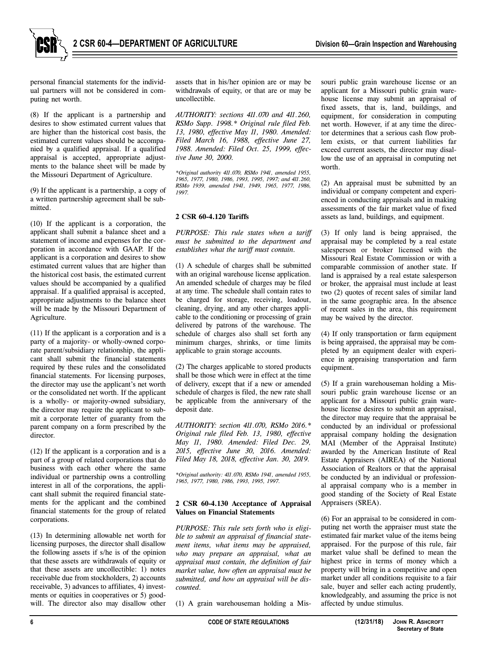

personal financial statements for the individual partners will not be considered in computing net worth.

(8) If the applicant is a partnership and desires to show estimated current values that are higher than the historical cost basis, the estimated current values should be accompanied by a qualified appraisal. If a qualified appraisal is accepted, appropriate adjustments to the balance sheet will be made by the Missouri Department of Agriculture.

(9) If the applicant is a partnership, a copy of a written partnership agreement shall be submitted.

(10) If the applicant is a corporation, the applicant shall submit a balance sheet and a statement of income and expenses for the corporation in accordance with GAAP. If the applicant is a corporation and desires to show estimated current values that are higher than the historical cost basis, the estimated current values should be accompanied by a qualified appraisal. If a qualified appraisal is accepted, appropriate adjustments to the balance sheet will be made by the Missouri Department of Agriculture.

(11) If the applicant is a corporation and is a party of a majority- or wholly-owned corporate parent/subsidiary relationship, the applicant shall submit the financial statements required by these rules and the consolidated financial statements. For licensing purposes, the director may use the applicant's net worth or the consolidated net worth. If the applicant is a wholly- or majority-owned subsidiary, the director may require the applicant to submit a corporate letter of guaranty from the parent company on a form prescribed by the director.

(12) If the applicant is a corporation and is a part of a group of related corporations that do business with each other where the same individual or partnership owns a controlling interest in all of the corporations, the applicant shall submit the required financial statements for the applicant and the combined financial statements for the group of related corporations.

(13) In determining allowable net worth for licensing purposes, the director shall disallow the following assets if s/he is of the opinion that these assets are withdrawals of equity or that these assets are uncollectible: 1) notes receivable due from stockholders, 2) accounts receivable, 3) advances to affiliates, 4) investments or equities in cooperatives or 5) goodwill. The director also may disallow other assets that in his/her opinion are or may be withdrawals of equity, or that are or may be uncollectible.

*AUTHORITY: sections 411.070 and 411.260, RSMo Supp. 1998.\* Original rule filed Feb. 13, 1980, effective May 11, 1980. Amended: Filed March 16, 1988, effective June 27, 1988. Amended: Filed Oct. 25, 1999, effective June 30, 2000.*

*\*Original authority 411.070, RSMo 1941, amended 1955, 1965, 1977, 1980, 1986, 1993, 1995, 1997; and 411.260, RSMo 1939, amended 1941, 1949, 1965, 1977, 1986, 1997.*

# **2 CSR 60-4.120 Tariffs**

*PURPOSE: This rule states when a tariff must be submitted to the department and establishes what the tariff must contain.*

(1) A schedule of charges shall be submitted with an original warehouse license application. An amended schedule of charges may be filed at any time. The schedule shall contain rates to be charged for storage, receiving, loadout, cleaning, drying, and any other charges applicable to the conditioning or processing of grain delivered by patrons of the warehouse. The schedule of charges also shall set forth any minimum charges, shrinks, or time limits applicable to grain storage accounts.

(2) The charges applicable to stored products shall be those which were in effect at the time of delivery, except that if a new or amended schedule of charges is filed, the new rate shall be applicable from the anniversary of the deposit date.

*AUTHORITY: section 411.070, RSMo 2016.\* Original rule filed Feb. 13, 1980, effective May 11, 1980. Amended: Filed Dec. 29, 2015, effective June 30, 2016. Amended: Filed May 18, 2018, effective Jan. 30, 2019.*

*\*Original authority: 411.070, RSMo 1941, amended 1955, 1965, 1977, 1980, 1986, 1993, 1995, 1997.*

#### **2 CSR 60-4.130 Acceptance of Appraisal Values on Financial Statements**

*PURPOSE: This rule sets forth who is eligible to submit an appraisal of financial statement items, what items may be appraised, who may prepare an appraisal, what an appraisal must contain, the definition of fair market value, how often an appraisal must be submitted, and how an appraisal will be discounted.*

(1) A grain warehouseman holding a Mis-

souri public grain warehouse license or an applicant for a Missouri public grain warehouse license may submit an appraisal of fixed assets, that is, land, buildings, and equipment, for consideration in computing net worth. However, if at any time the director determines that a serious cash flow problem exists, or that current liabilities far exceed current assets, the director may disallow the use of an appraisal in computing net worth.

(2) An appraisal must be submitted by an individual or company competent and experienced in conducting appraisals and in making assessments of the fair market value of fixed assets as land, buildings, and equipment.

(3) If only land is being appraised, the appraisal may be completed by a real estate salesperson or broker licensed with the Missouri Real Estate Commission or with a comparable commission of another state. If land is appraised by a real estate salesperson or broker, the appraisal must include at least two (2) quotes of recent sales of similar land in the same geographic area. In the absence of recent sales in the area, this requirement may be waived by the director.

(4) If only transportation or farm equipment is being appraised, the appraisal may be completed by an equipment dealer with experience in appraising transportation and farm equipment.

(5) If a grain warehouseman holding a Missouri public grain warehouse license or an applicant for a Missouri public grain warehouse license desires to submit an appraisal, the director may require that the appraisal be conducted by an individual or professional appraisal company holding the designation MAI (Member of the Appraisal Institute) awarded by the American Institute of Real Estate Appraisers (AIREA) of the National Association of Realtors or that the appraisal be conducted by an individual or professional appraisal company who is a member in good standing of the Society of Real Estate Appraisers (SREA).

(6) For an appraisal to be considered in computing net worth the appraiser must state the estimated fair market value of the items being appraised. For the purpose of this rule, fair market value shall be defined to mean the highest price in terms of money which a property will bring in a competitive and open market under all conditions requisite to a fair sale, buyer and seller each acting prudently, knowledgeably, and assuming the price is not affected by undue stimulus.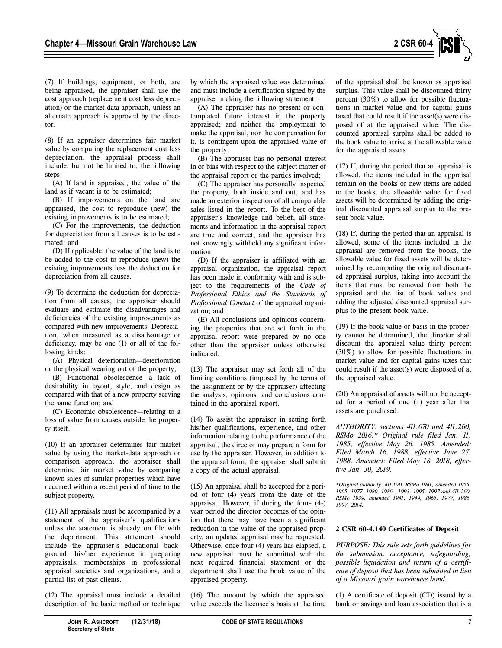

(7) If buildings, equipment, or both, are being appraised, the appraiser shall use the cost approach (replacement cost less depreciation) or the market-data approach, unless an alternate approach is approved by the director.

(8) If an appraiser determines fair market value by computing the replacement cost less depreciation, the appraisal process shall include, but not be limited to, the following steps:

(A) If land is appraised, the value of the land as if vacant is to be estimated;

(B) If improvements on the land are appraised, the cost to reproduce (new) the existing improvements is to be estimated;

(C) For the improvements, the deduction for depreciation from all causes is to be estimated; and

(D) If applicable, the value of the land is to be added to the cost to reproduce (new) the existing improvements less the deduction for depreciation from all causes.

(9) To determine the deduction for depreciation from all causes, the appraiser should evaluate and estimate the disadvantages and deficiencies of the existing improvements as compared with new improvements. Depreciation, when measured as a disadvantage or deficiency, may be one (1) or all of the following kinds:

(A) Physical deterioration—deterioration or the physical wearing out of the property;

(B) Functional obsolescence—a lack of desirability in layout, style, and design as compared with that of a new property serving the same function; and

(C) Economic obsolescence—relating to a loss of value from causes outside the property itself.

(10) If an appraiser determines fair market value by using the market-data approach or comparison approach, the appraiser shall determine fair market value by comparing known sales of similar properties which have occurred within a recent period of time to the subject property.

(11) All appraisals must be accompanied by a statement of the appraiser's qualifications unless the statement is already on file with the department. This statement should include the appraiser's educational background, his/her experience in preparing appraisals, memberships in professional appraisal societies and organizations, and a partial list of past clients.

(12) The appraisal must include a detailed description of the basic method or technique by which the appraised value was determined and must include a certification signed by the appraiser making the following statement:

(A) The appraiser has no present or contemplated future interest in the property appraised; and neither the employment to make the appraisal, nor the compensation for it, is contingent upon the appraised value of the property;

(B) The appraiser has no personal interest in or bias with respect to the subject matter of the appraisal report or the parties involved;

(C) The appraiser has personally inspected the property, both inside and out, and has made an exterior inspection of all comparable sales listed in the report. To the best of the appraiser's knowledge and belief, all statements and information in the appraisal report are true and correct, and the appraiser has not knowingly withheld any significant information;

(D) If the appraiser is affiliated with an appraisal organization, the appraisal report has been made in conformity with and is subject to the requirements of the *Code of Professional Ethics and the Standards of Professional Conduct* of the appraisal organization; and

(E) All conclusions and opinions concerning the properties that are set forth in the appraisal report were prepared by no one other than the appraiser unless otherwise indicated.

(13) The appraiser may set forth all of the limiting conditions (imposed by the terms of the assignment or by the appraiser) affecting the analysis, opinions, and conclusions contained in the appraisal report.

(14) To assist the appraiser in setting forth his/her qualifications, experience, and other information relating to the performance of the appraisal, the director may prepare a form for use by the appraiser. However, in addition to the appraisal form, the appraiser shall submit a copy of the actual appraisal.

(15) An appraisal shall be accepted for a period of four (4) years from the date of the appraisal. However, if during the four- (4-) year period the director becomes of the opinion that there may have been a significant reduction in the value of the appraised property, an updated appraisal may be requested. Otherwise, once four (4) years has elapsed, a new appraisal must be submitted with the next required financial statement or the department shall use the book value of the appraised property.

(16) The amount by which the appraised value exceeds the licensee's basis at the time of the appraisal shall be known as appraisal surplus. This value shall be discounted thirty percent (30%) to allow for possible fluctuations in market value and for capital gains taxed that could result if the asset(s) were disposed of at the appraised value. The discounted appraisal surplus shall be added to the book value to arrive at the allowable value for the appraised assets.

(17) If, during the period that an appraisal is allowed, the items included in the appraisal remain on the books or new items are added to the books, the allowable value for fixed assets will be determined by adding the original discounted appraisal surplus to the present book value.

(18) If, during the period that an appraisal is allowed, some of the items included in the appraisal are removed from the books, the allowable value for fixed assets will be determined by recomputing the original discounted appraisal surplus, taking into account the items that must be removed from both the appraisal and the list of book values and adding the adjusted discounted appraisal surplus to the present book value.

(19) If the book value or basis in the property cannot be determined, the director shall discount the appraisal value thirty percent (30%) to allow for possible fluctuations in market value and for capital gains taxes that could result if the asset(s) were disposed of at the appraised value.

(20) An appraisal of assets will not be accepted for a period of one (1) year after that assets are purchased.

*AUTHORITY: sections 411.070 and 411.260, RSMo 2016.\* Original rule filed Jan. 11, 1985, effective May 26, 1985. Amended: Filed March 16, 1988, effective June 27, 1988. Amended: Filed May 18, 2018, effective Jan. 30, 2019.*

*\*Original authority: 411.070, RSMo 1941, amended 1955, 1965, 1977, 1980, 1986 , 1993, 1995, 1997 and 411.260, RSMo 1939, amended 1941, 1949, 1965, 1977, 1986, 1997, 2014.*

# **2 CSR 60-4.140 Certificates of Deposit**

*PURPOSE: This rule sets forth guidelines for the submission, acceptance, safeguarding, possible liquidation and return of a certificate of deposit that has been submitted in lieu of a Missouri grain warehouse bond.*

(1) A certificate of deposit (CD) issued by a bank or savings and loan association that is a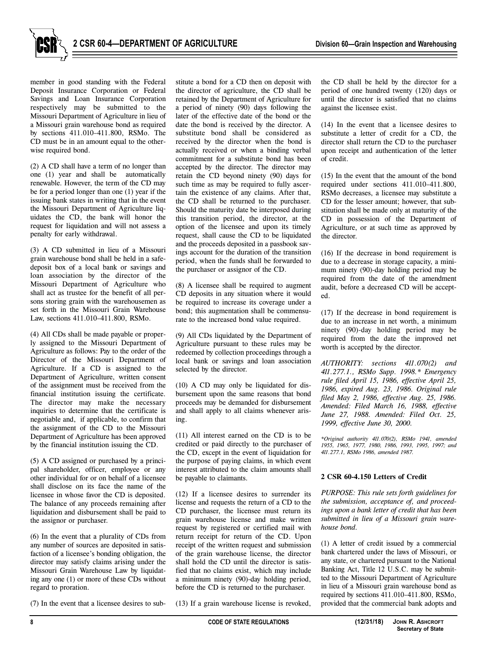

**2 CSR 60-4—DEPARTMENT OF AGRICULTURE** Division 60—Grain Inspection and Warehousing

member in good standing with the Federal Deposit Insurance Corporation or Federal Savings and Loan Insurance Corporation respectively may be submitted to the Missouri Department of Agriculture in lieu of a Missouri grain warehouse bond as required by sections 411.010–411.800, RSMo. The CD must be in an amount equal to the otherwise required bond.

(2) A CD shall have a term of no longer than one (1) year and shall be automatically renewable. However, the term of the CD may be for a period longer than one (1) year if the issuing bank states in writing that in the event the Missouri Department of Agriculture liquidates the CD, the bank will honor the request for liquidation and will not assess a penalty for early withdrawal.

(3) A CD submitted in lieu of a Missouri grain warehouse bond shall be held in a safedeposit box of a local bank or savings and loan association by the director of the Missouri Department of Agriculture who shall act as trustee for the benefit of all persons storing grain with the warehousemen as set forth in the Missouri Grain Warehouse Law, sections 411.010–411.800, RSMo.

(4) All CDs shall be made payable or properly assigned to the Missouri Department of Agriculture as follows: Pay to the order of the Director of the Missouri Department of Agriculture. If a CD is assigned to the Department of Agriculture, written consent of the assignment must be received from the financial institution issuing the certificate. The director may make the necessary inquiries to determine that the certificate is negotiable and, if applicable, to confirm that the assignment of the CD to the Missouri Department of Agriculture has been approved by the financial institution issuing the CD.

(5) A CD assigned or purchased by a principal shareholder, officer, employee or any other individual for or on behalf of a licensee shall disclose on its face the name of the licensee in whose favor the CD is deposited. The balance of any proceeds remaining after liquidation and disbursement shall be paid to the assignor or purchaser.

(6) In the event that a plurality of CDs from any number of sources are deposited in satisfaction of a licensee's bonding obligation, the director may satisfy claims arising under the Missouri Grain Warehouse Law by liquidating any one (1) or more of these CDs without regard to proration.

(7) In the event that a licensee desires to sub-

stitute a bond for a CD then on deposit with the director of agriculture, the CD shall be retained by the Department of Agriculture for a period of ninety (90) days following the later of the effective date of the bond or the date the bond is received by the director. A substitute bond shall be considered as received by the director when the bond is actually received or when a binding verbal commitment for a substitute bond has been accepted by the director. The director may retain the CD beyond ninety (90) days for such time as may be required to fully ascertain the existence of any claims. After that, the CD shall be returned to the purchaser. Should the maturity date be interposed during this transition period, the director, at the option of the licensee and upon its timely request, shall cause the CD to be liquidated and the proceeds deposited in a passbook savings account for the duration of the transition period, when the funds shall be forwarded to the purchaser or assignor of the CD.

(8) A licensee shall be required to augment CD deposits in any situation where it would be required to increase its coverage under a bond; this augmentation shall be commensurate to the increased bond value required.

(9) All CDs liquidated by the Department of Agriculture pursuant to these rules may be redeemed by collection proceedings through a local bank or savings and loan association selected by the director.

(10) A CD may only be liquidated for disbursement upon the same reasons that bond proceeds may be demanded for disbursement and shall apply to all claims whenever arising.

(11) All interest earned on the CD is to be credited or paid directly to the purchaser of the CD, except in the event of liquidation for the purpose of paying claims, in which event interest attributed to the claim amounts shall be payable to claimants.

(12) If a licensee desires to surrender its license and requests the return of a CD to the CD purchaser, the licensee must return its grain warehouse license and make written request by registered or certified mail with return receipt for return of the CD. Upon receipt of the written request and submission of the grain warehouse license, the director shall hold the CD until the director is satisfied that no claims exist, which may include a minimum ninety (90)-day holding period, before the CD is returned to the purchaser.

(13) If a grain warehouse license is revoked,

the CD shall be held by the director for a period of one hundred twenty (120) days or until the director is satisfied that no claims against the licensee exist.

(14) In the event that a licensee desires to substitute a letter of credit for a CD, the director shall return the CD to the purchaser upon receipt and authentication of the letter of credit.

(15) In the event that the amount of the bond required under sections 411.010–411.800, RSMo decreases, a licensee may substitute a CD for the lesser amount; however, that substitution shall be made only at maturity of the CD in possession of the Department of Agriculture, or at such time as approved by the director.

(16) If the decrease in bond requirement is due to a decrease in storage capacity, a minimum ninety (90)-day holding period may be required from the date of the amendment audit, before a decreased CD will be accepted.

(17) If the decrease in bond requirement is due to an increase in net worth, a minimum ninety (90)-day holding period may be required from the date the improved net worth is accepted by the director.

*AUTHORITY: sections 411.070(2) and 411.277.1., RSMo Supp. 1998.\* Emergency rule filed April 15, 1986, effective April 25, 1986, expired Aug. 23, 1986. Original rule filed May 2, 1986, effective Aug. 25, 1986. Amended: Filed March 16, 1988, effective June 27, 1988. Amended: Filed Oct. 25, 1999, effective June 30, 2000.*

*\*Original authority 411.070(2), RSMo 1941, amended 1955, 1965, 1977, 1980, 1986, 1993, 1995, 1997; and 411.277.1, RSMo 1986, amended 1987.*

## **2 CSR 60-4.150 Letters of Credit**

*PURPOSE: This rule sets forth guidelines for the submission, acceptance of, and proceedings upon a bank letter of credit that has been submitted in lieu of a Missouri grain warehouse bond.*

(1) A letter of credit issued by a commercial bank chartered under the laws of Missouri, or any state, or chartered pursuant to the National Banking Act, Title 12 U.S.C. may be submitted to the Missouri Department of Agriculture in lieu of a Missouri grain warehouse bond as required by sections 411.010–411.800, RSMo, provided that the commercial bank adopts and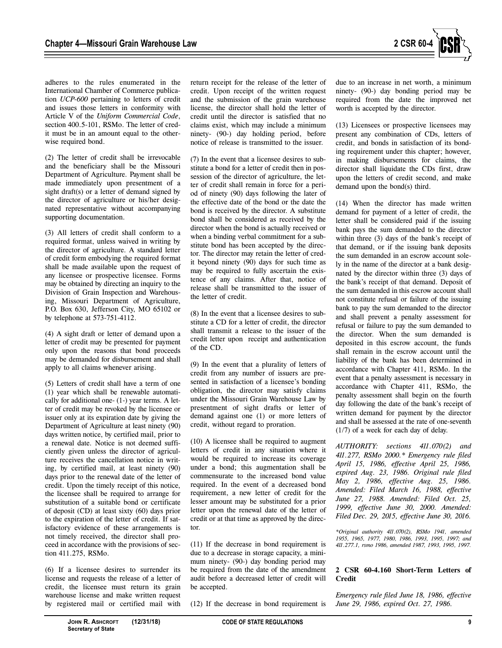

adheres to the rules enumerated in the International Chamber of Commerce publication *UCP-600* pertaining to letters of credit and issues those letters in conformity with Article V of the *Uniform Commercial Code*, section 400.5-101, RSMo. The letter of credit must be in an amount equal to the otherwise required bond.

(2) The letter of credit shall be irrevocable and the beneficiary shall be the Missouri Department of Agriculture. Payment shall be made immediately upon presentment of a sight draft(s) or a letter of demand signed by the director of agriculture or his/her designated representative without accompanying supporting documentation.

(3) All letters of credit shall conform to a required format, unless waived in writing by the director of agriculture. A standard letter of credit form embodying the required format shall be made available upon the request of any licensee or prospective licensee. Forms may be obtained by directing an inquiry to the Division of Grain Inspection and Warehousing, Missouri Department of Agriculture, P.O. Box 630, Jefferson City, MO 65102 or by telephone at 573-751-4112.

(4) A sight draft or letter of demand upon a letter of credit may be presented for payment only upon the reasons that bond proceeds may be demanded for disbursement and shall apply to all claims whenever arising.

(5) Letters of credit shall have a term of one (1) year which shall be renewable automatically for additional one- (1-) year terms. A letter of credit may be revoked by the licensee or issuer only at its expiration date by giving the Department of Agriculture at least ninety (90) days written notice, by certified mail, prior to a renewal date. Notice is not deemed sufficiently given unless the director of agriculture receives the cancellation notice in writing, by certified mail, at least ninety (90) days prior to the renewal date of the letter of credit. Upon the timely receipt of this notice, the licensee shall be required to arrange for substitution of a suitable bond or certificate of deposit (CD) at least sixty (60) days prior to the expiration of the letter of credit. If satisfactory evidence of these arrangements is not timely received, the director shall proceed in accordance with the provisions of section 411.275, RSMo.

(6) If a licensee desires to surrender its license and requests the release of a letter of credit, the licensee must return its grain warehouse license and make written request by registered mail or certified mail with return receipt for the release of the letter of credit. Upon receipt of the written request and the submission of the grain warehouse license, the director shall hold the letter of credit until the director is satisfied that no claims exist, which may include a minimum ninety- (90-) day holding period, before notice of release is transmitted to the issuer.

(7) In the event that a licensee desires to substitute a bond for a letter of credit then in possession of the director of agriculture, the letter of credit shall remain in force for a period of ninety (90) days following the later of the effective date of the bond or the date the bond is received by the director. A substitute bond shall be considered as received by the director when the bond is actually received or when a binding verbal commitment for a substitute bond has been accepted by the director. The director may retain the letter of credit beyond ninety (90) days for such time as may be required to fully ascertain the existence of any claims. After that, notice of release shall be transmitted to the issuer of the letter of credit.

(8) In the event that a licensee desires to substitute a CD for a letter of credit, the director shall transmit a release to the issuer of the credit letter upon receipt and authentication of the CD.

(9) In the event that a plurality of letters of credit from any number of issuers are presented in satisfaction of a licensee's bonding obligation, the director may satisfy claims under the Missouri Grain Warehouse Law by presentment of sight drafts or letter of demand against one (1) or more letters of credit, without regard to proration.

(10) A licensee shall be required to augment letters of credit in any situation where it would be required to increase its coverage under a bond; this augmentation shall be commensurate to the increased bond value required. In the event of a decreased bond requirement, a new letter of credit for the lesser amount may be substituted for a prior letter upon the renewal date of the letter of credit or at that time as approved by the director.

(11) If the decrease in bond requirement is due to a decrease in storage capacity, a minimum ninety- (90-) day bonding period may be required from the date of the amendment audit before a decreased letter of credit will be accepted.

(12) If the decrease in bond requirement is

due to an increase in net worth, a minimum ninety- (90-) day bonding period may be required from the date the improved net worth is accepted by the director.

(13) Licensees or prospective licensees may present any combination of CDs, letters of credit, and bonds in satisfaction of its bonding requirement under this chapter; however, in making disbursements for claims, the director shall liquidate the CDs first, draw upon the letters of credit second, and make demand upon the bond(s) third.

(14) When the director has made written demand for payment of a letter of credit, the letter shall be considered paid if the issuing bank pays the sum demanded to the director within three (3) days of the bank's receipt of that demand, or if the issuing bank deposits the sum demanded in an escrow account solely in the name of the director at a bank designated by the director within three (3) days of the bank's receipt of that demand. Deposit of the sum demanded in this escrow account shall not constitute refusal or failure of the issuing bank to pay the sum demanded to the director and shall prevent a penalty assessment for refusal or failure to pay the sum demanded to the director. When the sum demanded is deposited in this escrow account, the funds shall remain in the escrow account until the liability of the bank has been determined in accordance with Chapter 411, RSMo. In the event that a penalty assessment is necessary in accordance with Chapter 411, RSMo, the penalty assessment shall begin on the fourth day following the date of the bank's receipt of written demand for payment by the director and shall be assessed at the rate of one-seventh (1/7) of a week for each day of delay.

*AUTHORITY: sections 411.070(2) and 411.277, RSMo 2000.\* Emergency rule filed April 15, 1986, effective April 25, 1986, expired Aug. 23, 1986. Original rule filed May 2, 1986, effective Aug. 25, 1986. Amended: Filed March 16, 1988, effective June 27, 1988. Amended: Filed Oct. 25, 1999, effective June 30, 2000. Amended: Filed Dec. 29, 2015, effective June 30, 2016.*

*\*Original authority 411.070(2), RSMo 1941, amended 1955, 1965, 1977, 1980, 1986, 1993, 1995, 1997; and 411.277.1, rsmo 1986, amended 1987, 1993, 1995, 1997.*

## **2 CSR 60-4.160 Short-Term Letters of Credit**

*Emergency rule filed June 18, 1986, effective June 29, 1986, expired Oct. 27, 1986.*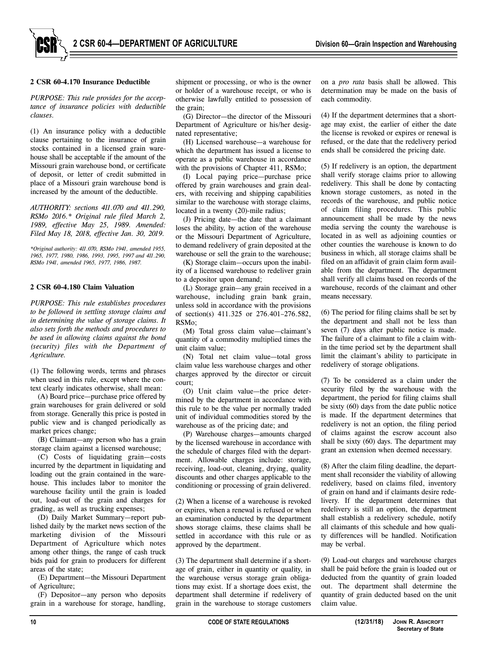

## **2 CSR 60-4.170 Insurance Deductible**

*PURPOSE: This rule provides for the acceptance of insurance policies with deductible clauses.*

(1) An insurance policy with a deductible clause pertaining to the insurance of grain stocks contained in a licensed grain warehouse shall be acceptable if the amount of the Missouri grain warehouse bond, or certificate of deposit, or letter of credit submitted in place of a Missouri grain warehouse bond is increased by the amount of the deductible.

*AUTHORITY: sections 411.070 and 411.290, RSMo 2016.\* Original rule filed March 2, 1989, effective May 25, 1989. Amended: Filed May 18, 2018, effective Jan. 30, 2019.*

*\*Original authority: 411.070, RSMo 1941, amended 1955, 1965, 1977, 1980, 1986, 1993, 1995, 1997 and 411.290, RSMo 1941, amended 1965, 1977, 1986, 1987.*

## **2 CSR 60-4.180 Claim Valuation**

*PURPOSE: This rule establishes procedures to be followed in settling storage claims and in determining the value of storage claims. It also sets forth the methods and procedures to be used in allowing claims against the bond (security) files with the Department of Agriculture.*

(1) The following words, terms and phrases when used in this rule, except where the context clearly indicates otherwise, shall mean:

(A) Board price—purchase price offered by grain warehouses for grain delivered or sold from storage. Generally this price is posted in public view and is changed periodically as market prices change;

(B) Claimant—any person who has a grain storage claim against a licensed warehouse;

(C) Costs of liquidating grain—costs incurred by the department in liquidating and loading out the grain contained in the warehouse. This includes labor to monitor the warehouse facility until the grain is loaded out, load-out of the grain and charges for grading, as well as trucking expenses;

(D) Daily Market Summary—report published daily by the market news section of the marketing division of the Missouri Department of Agriculture which notes among other things, the range of cash truck bids paid for grain to producers for different areas of the state;

(E) Department—the Missouri Department of Agriculture;

(F) Depositor—any person who deposits grain in a warehouse for storage, handling,

shipment or processing, or who is the owner or holder of a warehouse receipt, or who is otherwise lawfully entitled to possession of the grain;

(G) Director—the director of the Missouri Department of Agriculture or his/her designated representative;

(H) Licensed warehouse—a warehouse for which the department has issued a license to operate as a public warehouse in accordance with the provisions of Chapter 411, RSMo;

(I) Local paying price—purchase price offered by grain warehouses and grain dealers, with receiving and shipping capabilities similar to the warehouse with storage claims, located in a twenty (20)-mile radius;

(J) Pricing date—the date that a claimant loses the ability, by action of the warehouse or the Missouri Department of Agriculture, to demand redelivery of grain deposited at the warehouse or sell the grain to the warehouse;

(K) Storage claim—occurs upon the inability of a licensed warehouse to redeliver grain to a depositor upon demand;

(L) Storage grain—any grain received in a warehouse, including grain bank grain, unless sold in accordance with the provisions of section(s) 411.325 or 276.401–276.582, RSMo;

(M) Total gross claim value—claimant's quantity of a commodity multiplied times the unit claim value;

(N) Total net claim value—total gross claim value less warehouse charges and other charges approved by the director or circuit court;

(O) Unit claim value—the price determined by the department in accordance with this rule to be the value per normally traded unit of individual commodities stored by the warehouse as of the pricing date; and

(P) Warehouse charges—amounts charged by the licensed warehouse in accordance with the schedule of charges filed with the department. Allowable charges include: storage, receiving, load-out, cleaning, drying, quality discounts and other charges applicable to the conditioning or processing of grain delivered.

(2) When a license of a warehouse is revoked or expires, when a renewal is refused or when an examination conducted by the department shows storage claims, these claims shall be settled in accordance with this rule or as approved by the department.

(3) The department shall determine if a shortage of grain, either in quantity or quality, in the warehouse versus storage grain obligations may exist. If a shortage does exist, the department shall determine if redelivery of grain in the warehouse to storage customers

on a *pro rata* basis shall be allowed. This determination may be made on the basis of each commodity.

(4) If the department determines that a shortage may exist, the earlier of either the date the license is revoked or expires or renewal is refused, or the date that the redelivery period ends shall be considered the pricing date.

(5) If redelivery is an option, the department shall verify storage claims prior to allowing redelivery. This shall be done by contacting known storage customers, as noted in the records of the warehouse, and public notice of claim filing procedures. This public announcement shall be made by the news media serving the county the warehouse is located in as well as adjoining counties or other counties the warehouse is known to do business in which, all storage claims shall be filed on an affidavit of grain claim form available from the department. The department shall verify all claims based on records of the warehouse, records of the claimant and other means necessary.

(6) The period for filing claims shall be set by the department and shall not be less than seven (7) days after public notice is made. The failure of a claimant to file a claim within the time period set by the department shall limit the claimant's ability to participate in redelivery of storage obligations.

(7) To be considered as a claim under the security filed by the warehouse with the department, the period for filing claims shall be sixty (60) days from the date public notice is made. If the department determines that redelivery is not an option, the filing period of claims against the escrow account also shall be sixty (60) days. The department may grant an extension when deemed necessary.

(8) After the claim filing deadline, the department shall reconsider the viability of allowing redelivery, based on claims filed, inventory of grain on hand and if claimants desire redelivery. If the department determines that redelivery is still an option, the department shall establish a redelivery schedule, notify all claimants of this schedule and how quality differences will be handled. Notification may be verbal.

(9) Load-out charges and warehouse charges shall be paid before the grain is loaded out or deducted from the quantity of grain loaded out. The department shall determine the quantity of grain deducted based on the unit claim value.